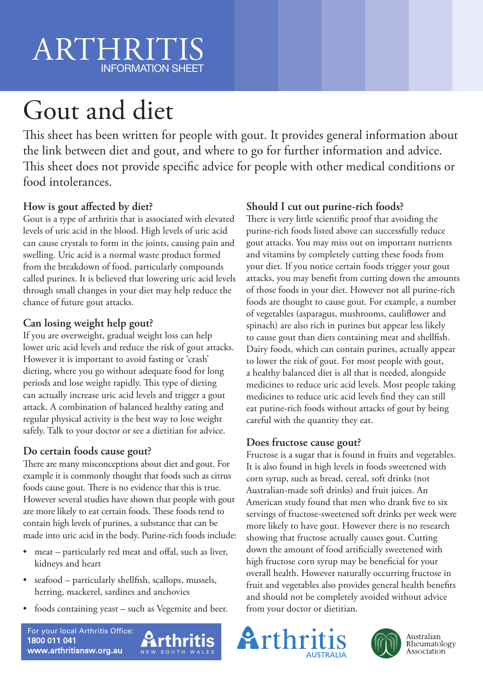# ARTHRITIS INFORMATION SHEET

# Gout and diet

This sheet has been written for people with gout. It provides general information about the link between diet and gout, and where to go for further information and advice. This sheet does not provide specific advice for people with other medical conditions or food intolerances.

### **How is gout affected by diet?**

Gout is a type of arthritis that is associated with elevated levels of uric acid in the blood. High levels of uric acid can cause crystals to form in the joints, causing pain and swelling. Uric acid is a normal waste product formed from the breakdown of food, particularly compounds called purines. It is believed that lowering uric acid levels through small changes in your diet may help reduce the chance of future gout attacks.

### **Can losing weight help gout?**

If you are overweight, gradual weight loss can help lower uric acid levels and reduce the risk of gout attacks. However it is important to avoid fasting or 'crash' dieting, where you go without adequate food for long periods and lose weight rapidly. This type of dieting can actually increase uric acid levels and trigger a gout attack. A combination of balanced healthy eating and regular physical activity is the best way to lose weight safely. Talk to your doctor or see a dietitian for advice.

### **Do certain foods cause gout?**

There are many misconceptions about diet and gout. For example it is commonly thought that foods such as citrus foods cause gout. There is no evidence that this is true. However several studies have shown that people with gout are more likely to eat certain foods. These foods tend to contain high levels of purines, a substance that can be made into uric acid in the body. Purine-rich foods include:

- meat particularly red meat and offal, such as liver, kidneys and heart
- seafood particularly shellfish, scallops, mussels, herring, mackerel, sardines and anchovies
- foods containing yeast such as Vegemite and beer.

# **Should I cut out purine-rich foods?**

There is very little scientific proof that avoiding the purine-rich foods listed above can successfully reduce gout attacks. You may miss out on important nutrients and vitamins by completely cutting these foods from your diet. If you notice certain foods trigger your gout attacks, you may benefit from cutting down the amounts of those foods in your diet. However not all purine-rich foods are thought to cause gout. For example, a number of vegetables (asparagus, mushrooms, cauliflower and spinach) are also rich in purines but appear less likely to cause gout than diets containing meat and shellfish. Dairy foods, which can contain purines, actually appear to lower the risk of gout. For most people with gout, a healthy balanced diet is all that is needed, alongside medicines to reduce uric acid levels. Most people taking medicines to reduce uric acid levels find they can still eat purine-rich foods without attacks of gout by being careful with the quantity they eat.

### **Does fructose cause gout?**

Fructose is a sugar that is found in fruits and vegetables. It is also found in high levels in foods sweetened with corn syrup, such as bread, cereal, soft drinks (not Australian-made soft drinks) and fruit juices. An American study found that men who drank five to six servings of fructose-sweetened soft drinks per week were more likely to have gout. However there is no research showing that fructose actually causes gout. Cutting down the amount of food artificially sweetened with high fructose corn syrup may be beneficial for your overall health. However naturally occurring fructose in fruit and vegetables also provides general health benefits and should not be completely avoided without advice from your doctor or dietitian.





For your local Arthritis Office: 1800 011 041 www.arthritisnsw.org.au